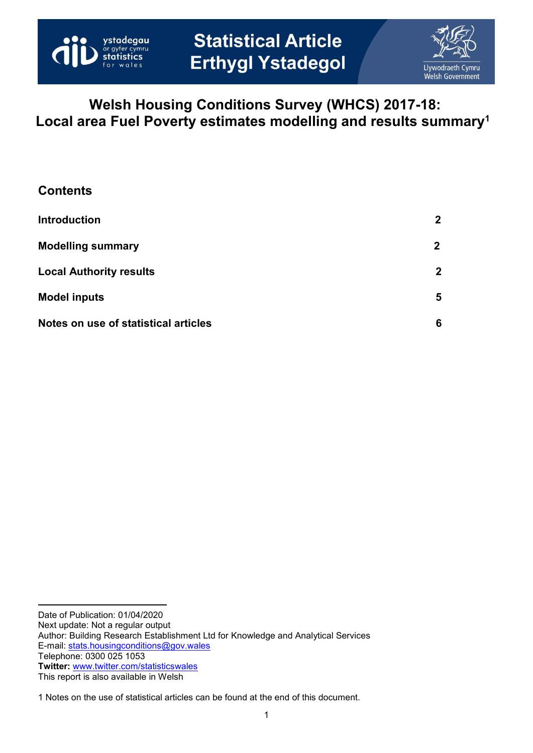



# **Welsh Housing Conditions Survey (WHCS) 2017-18: Local area Fuel Poverty estimates modelling and results summary<sup>1</sup>**

| <b>Contents</b>                      |                |
|--------------------------------------|----------------|
| <b>Introduction</b>                  | $\mathbf 2$    |
| <b>Modelling summary</b>             | $\mathbf{2}$   |
| <b>Local Authority results</b>       | $\overline{2}$ |
| <b>Model inputs</b>                  | 5              |
| Notes on use of statistical articles | 6              |

Date of Publication: 01/04/2020 Next update: Not a regular output Author: Building Research Establishment Ltd for Knowledge and Analytical Services E-mail: [stats.housingconditions@gov.wales](mailto:stats.housingconditions@gov.wales) Telephone: 0300 025 1053 **Twitter:** [www.twitter.com/statisticswales](http://www.twitter.com/statisticswales) This report is also available in Welsh

1 Notes on the use of statistical articles can be found at the end of this document.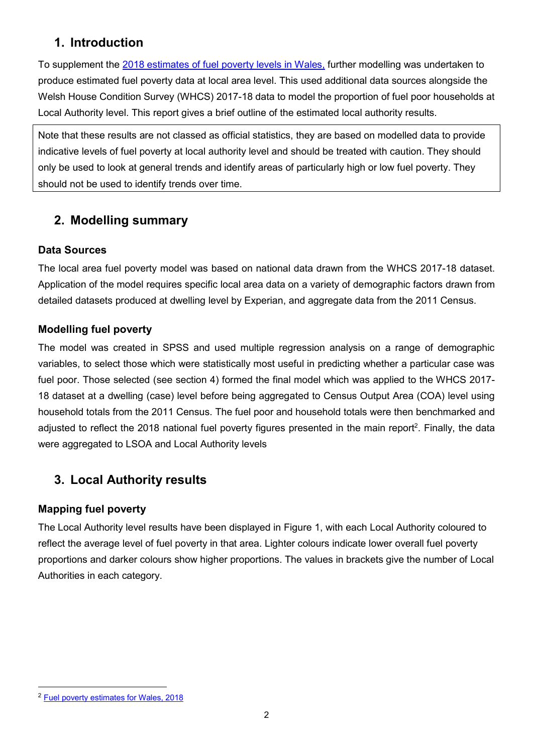## <span id="page-1-0"></span>**1. Introduction**

To supplement the [2018 estimates of fuel poverty levels in Wales,](https://gov.wales/fuel-poverty-estimates-wales-2018) further modelling was undertaken to produce estimated fuel poverty data at local area level. This used additional data sources alongside the Welsh House Condition Survey (WHCS) 2017-18 data to model the proportion of fuel poor households at Local Authority level. This report gives a brief outline of the estimated local authority results.

Note that these results are not classed as official statistics, they are based on modelled data to provide indicative levels of fuel poverty at local authority level and should be treated with caution. They should only be used to look at general trends and identify areas of particularly high or low fuel poverty. They should not be used to identify trends over time.

## <span id="page-1-1"></span>**2. Modelling summary**

### **Data Sources**

The local area fuel poverty model was based on national data drawn from the WHCS 2017-18 dataset. Application of the model requires specific local area data on a variety of demographic factors drawn from detailed datasets produced at dwelling level by Experian, and aggregate data from the 2011 Census.

### **Modelling fuel poverty**

The model was created in SPSS and used multiple regression analysis on a range of demographic variables, to select those which were statistically most useful in predicting whether a particular case was fuel poor. Those selected (see section 4) formed the final model which was applied to the WHCS 2017- 18 dataset at a dwelling (case) level before being aggregated to Census Output Area (COA) level using household totals from the 2011 Census. The fuel poor and household totals were then benchmarked and adjusted to reflect the 2018 national fuel poverty figures presented in the main report<sup>2</sup>. Finally, the data were aggregated to LSOA and Local Authority levels

## <span id="page-1-2"></span>**3. Local Authority results**

### **Mapping fuel poverty**

The Local Authority level results have been displayed in Figure 1, with each Local Authority coloured to reflect the average level of fuel poverty in that area. Lighter colours indicate lower overall fuel poverty proportions and darker colours show higher proportions. The values in brackets give the number of Local Authorities in each category.

l <sup>2</sup> [Fuel poverty estimates for Wales, 2018](https://gov.wales/fuel-poverty-estimates-wales-2018)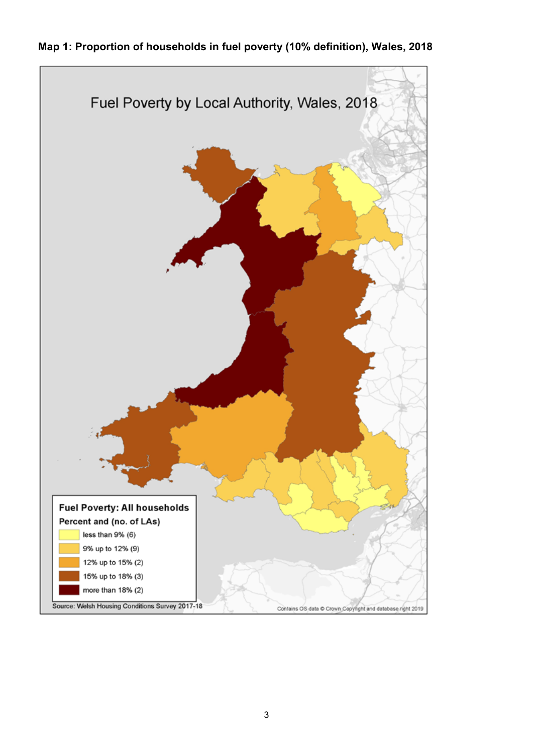

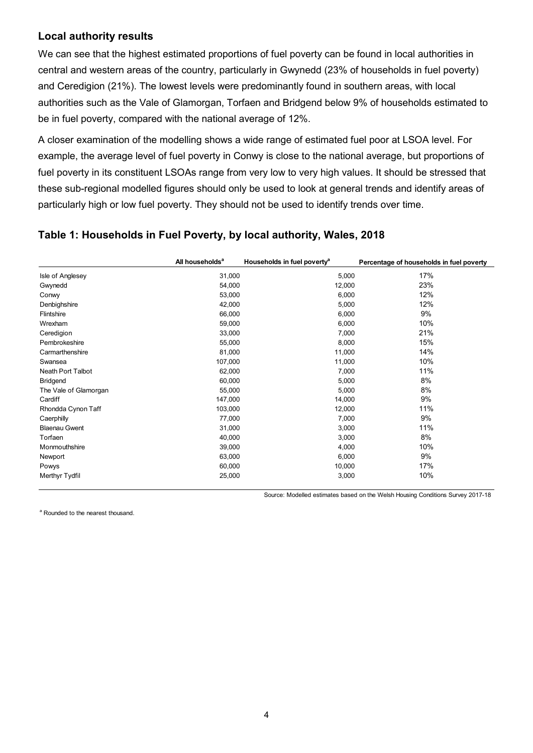#### **Local authority results**

We can see that the highest estimated proportions of fuel poverty can be found in local authorities in central and western areas of the country, particularly in Gwynedd (23% of households in fuel poverty) and Ceredigion (21%). The lowest levels were predominantly found in southern areas, with local authorities such as the Vale of Glamorgan, Torfaen and Bridgend below 9% of households estimated to be in fuel poverty, compared with the national average of 12%.

A closer examination of the modelling shows a wide range of estimated fuel poor at LSOA level. For example, the average level of fuel poverty in Conwy is close to the national average, but proportions of fuel poverty in its constituent LSOAs range from very low to very high values. It should be stressed that these sub-regional modelled figures should only be used to look at general trends and identify areas of particularly high or low fuel poverty. They should not be used to identify trends over time.

#### <span id="page-3-0"></span>**Table 1: Households in Fuel Poverty, by local authority, Wales, 2018**

|                       | All households <sup>a</sup> | Households in fuel poverty <sup>a</sup> | Percentage of households in fuel poverty |
|-----------------------|-----------------------------|-----------------------------------------|------------------------------------------|
| Isle of Anglesey      | 31,000                      | 5,000                                   | 17%                                      |
| Gwynedd               | 54,000                      | 12,000                                  | 23%                                      |
| Conwy                 | 53,000                      | 6,000                                   | 12%                                      |
| Denbighshire          | 42,000                      | 5,000                                   | 12%                                      |
| Flintshire            | 66,000                      | 6,000                                   | 9%                                       |
| Wrexham               | 59,000                      | 6,000                                   | 10%                                      |
| Ceredigion            | 33,000                      | 7,000                                   | 21%                                      |
| Pembrokeshire         | 55,000                      | 8,000                                   | 15%                                      |
| Carmarthenshire       | 81,000                      | 11,000                                  | 14%                                      |
| Swansea               | 107,000                     | 11,000                                  | 10%                                      |
| Neath Port Talbot     | 62,000                      | 7,000                                   | 11%                                      |
| <b>Bridgend</b>       | 60,000                      | 5,000                                   | 8%                                       |
| The Vale of Glamorgan | 55,000                      | 5,000                                   | 8%                                       |
| Cardiff               | 147,000                     | 14,000                                  | 9%                                       |
| Rhondda Cynon Taff    | 103,000                     | 12,000                                  | 11%                                      |
| Caerphilly            | 77,000                      | 7,000                                   | 9%                                       |
| <b>Blaenau Gwent</b>  | 31,000                      | 3,000                                   | 11%                                      |
| Torfaen               | 40,000                      | 3,000                                   | 8%                                       |
| Monmouthshire         | 39,000                      | 4,000                                   | 10%                                      |
| Newport               | 63,000                      | 6,000                                   | 9%                                       |
| Powys                 | 60,000                      | 10,000                                  | 17%                                      |
| Merthyr Tydfil        | 25,000                      | 3,000                                   | 10%                                      |

Source: Modelled estimates based on the Welsh Housing Conditions Survey 2017-18

<sup>a</sup> Rounded to the nearest thousand.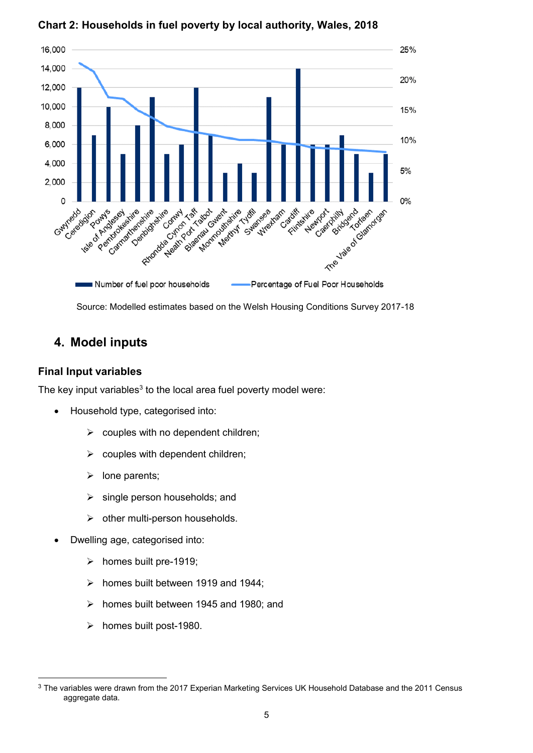

#### **Chart 2: Households in fuel poverty by local authority, Wales, 2018**

Source: Modelled estimates based on the Welsh Housing Conditions Survey 2017-18

## **4. Model inputs**

#### **Final Input variables**

l

The key input variables $^3$  to the local area fuel poverty model were:

- Household type, categorised into:
	- $\triangleright$  couples with no dependent children;
	- couples with dependent children;
	- $\triangleright$  lone parents:
	- $\triangleright$  single person households; and
	- $\triangleright$  other multi-person households.
- Dwelling age, categorised into:
	- $\triangleright$  homes built pre-1919;
	- $\triangleright$  homes built between 1919 and 1944;
	- $\triangleright$  homes built between 1945 and 1980; and
	- $\triangleright$  homes built post-1980.

<sup>&</sup>lt;sup>3</sup> The variables were drawn from the 2017 Experian Marketing Services UK Household Database and the 2011 Census aggregate data.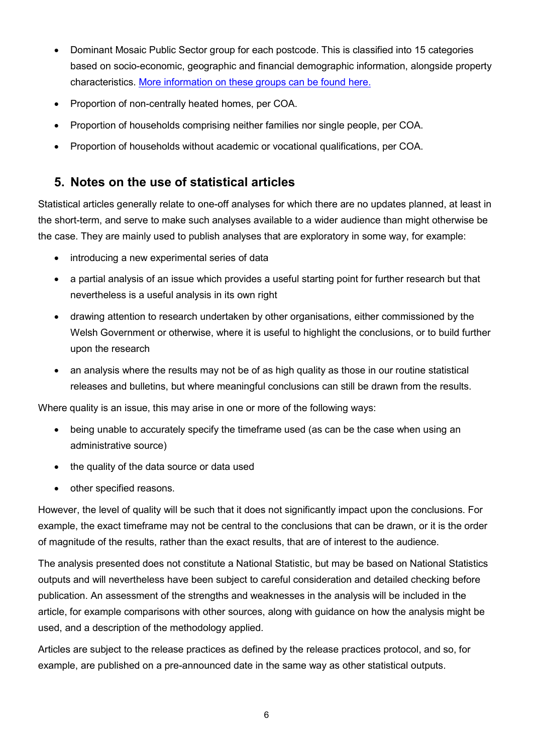- Dominant Mosaic Public Sector group for each postcode. This is classified into 15 categories based on socio-economic, geographic and financial demographic information, alongside property characteristics. [More information on these groups can be found here.](https://sp.ukdataservice.ac.uk/doc/5738/mrdoc/pdf/5738_mosaicpublicsector_info_2010.pdf)
- Proportion of non-centrally heated homes, per COA.
- Proportion of households comprising neither families nor single people, per COA.
- Proportion of households without academic or vocational qualifications, per COA.

## <span id="page-5-0"></span>**5. Notes on the use of statistical articles**

Statistical articles generally relate to one-off analyses for which there are no updates planned, at least in the short-term, and serve to make such analyses available to a wider audience than might otherwise be the case. They are mainly used to publish analyses that are exploratory in some way, for example:

- introducing a new experimental series of data
- a partial analysis of an issue which provides a useful starting point for further research but that nevertheless is a useful analysis in its own right
- drawing attention to research undertaken by other organisations, either commissioned by the Welsh Government or otherwise, where it is useful to highlight the conclusions, or to build further upon the research
- an analysis where the results may not be of as high quality as those in our routine statistical releases and bulletins, but where meaningful conclusions can still be drawn from the results.

Where quality is an issue, this may arise in one or more of the following ways:

- being unable to accurately specify the timeframe used (as can be the case when using an administrative source)
- the quality of the data source or data used
- other specified reasons.

However, the level of quality will be such that it does not significantly impact upon the conclusions. For example, the exact timeframe may not be central to the conclusions that can be drawn, or it is the order of magnitude of the results, rather than the exact results, that are of interest to the audience.

The analysis presented does not constitute a National Statistic, but may be based on National Statistics outputs and will nevertheless have been subject to careful consideration and detailed checking before publication. An assessment of the strengths and weaknesses in the analysis will be included in the article, for example comparisons with other sources, along with guidance on how the analysis might be used, and a description of the methodology applied.

Articles are subject to the release practices as defined by the [release practices protocol,](http://www.wales.gov.uk/keypubstatisticsforwales/content/Consultations/release-protocol.pdf) and so, for example, are published on a pre-announced date in the same way as other statistical outputs.